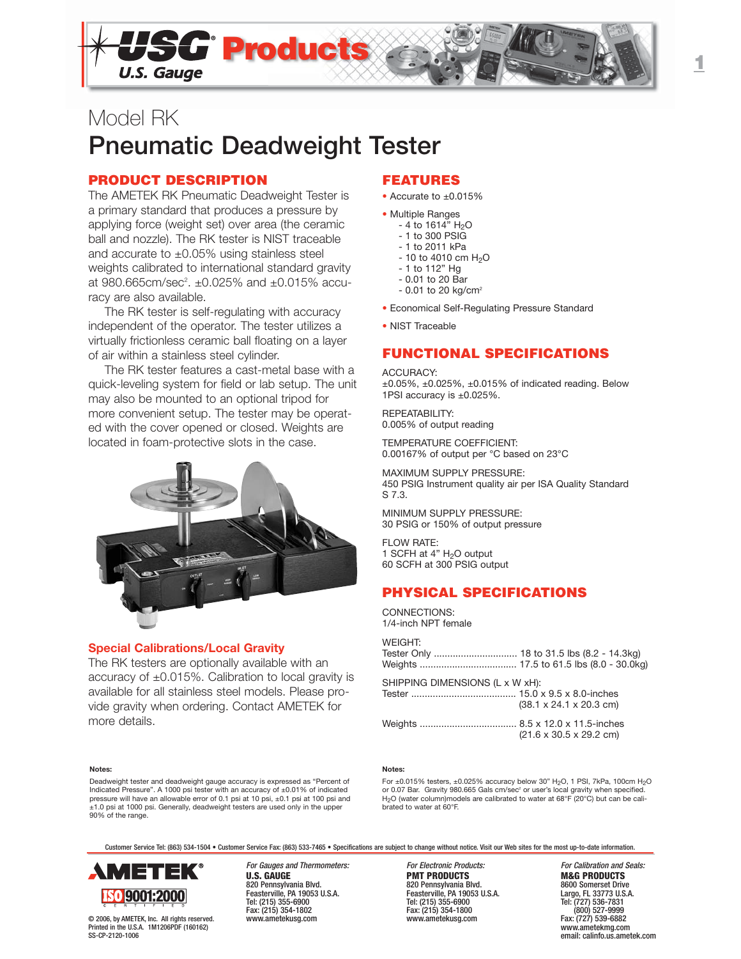

# Model RK **Pneumatic Deadweight Tester**

## **PRODUCT DESCRIPTION**

The AMETEK RK Pneumatic Deadweight Tester is a primary standard that produces a pressure by applying force (weight set) over area (the ceramic ball and nozzle). The RK tester is NIST traceable and accurate to  $\pm 0.05\%$  using stainless steel weights calibrated to international standard gravity at 980.665cm/sec<sup>2</sup>.  $\pm 0.025\%$  and  $\pm 0.015\%$  accuracy are also available.

The RK tester is self-regulating with accuracy independent of the operator. The tester utilizes a virtually frictionless ceramic ball floating on a layer of air within a stainless steel cylinder.

The RK tester features a cast-metal base with a quick-leveling system for field or lab setup. The unit may also be mounted to an optional tripod for more convenient setup. The tester may be operated with the cover opened or closed. Weights are located in foam-protective slots in the case.



## **Special Calibrations/Local Gravity**

The RK testers are optionally available with an accuracy of  $\pm 0.015\%$ . Calibration to local gravity is available for all stainless steel models. Please provide gravity when ordering. Contact AMETEK for more details.

## **FEATURES**

- Accurate to ±0.015%
- Multiple Ranges
	- $-4$  to 1614" H<sub>2</sub>O - 1 to 300 PSIG
	- 1 to 2011 kPa
	- $10$  to 4010 cm  $H<sub>2</sub>O$
	- 1 to 112" Hg
	- 0.01 to 20 Bar
	- $0.01$  to 20 kg/cm<sup>2</sup>
- Economical Self-Regulating Pressure Standard
- NIST Traceable

## **FUNCTIONAL SPECIFICATIONS**

#### ACCURACY:

 $\pm 0.05\%$ ,  $\pm 0.025\%$ ,  $\pm 0.015\%$  of indicated reading. Below 1PSI accuracy is ±0.025%.

REPEATABILITY: 0.005% of output reading

TEMPERATURE COEFFICIENT: 0.00167% of output per °C based on 23°C

MAXIMUM SUPPLY PRESSURE: 450 PSIG Instrument quality air per ISA Quality Standard S 7.3.

MINIMUM SUPPLY PRESSURE: 30 PSIG or 150% of output pressure

FLOW RATE: 1 SCFH at  $4"$  H<sub>2</sub>O output 60 SCFH at 300 PSIG output

## **PHYSICAL SPECIFICATIONS**

CONNECTIONS: 1/4-inch NPT female

## **WEIGHT:**

| Tester Only  18 to 31.5 lbs (8.2 - 14.3kg) |  |
|--------------------------------------------|--|
|                                            |  |

SHIPPING DIMENSIONS (L x W xH): Tester ....................................... 15.0 x 9.5 x 8.0-inches (38.1 x 24.1 x 20.3 cm) Weights .................................... 8.5 x 12.0 x 11.5-inches (21.6 x 30.5 x 29.2 cm)

#### **Notes:**

Deadweight tester and deadweight gauge accuracy is expressed as "Percent of Indicated Pressure". A 1000 psi tester with an accuracy of ±0.01% of indicated pressure will have an allowable error of 0.1 psi at 10 psi, ±0.1 psi at 100 psi and ±1.0 psi at 1000 psi. Generally, deadweight testers are used only in the upper 90% of the range.

#### **Notes:**

For ±0.015% testers, ±0.025% accuracy below 30" H<sub>2</sub>O, 1 PSI, 7kPa, 100cm H<sub>2</sub>O<br>or 0.07 Bar. Gravity 980.665 Gals cm/sec² or user's local gravity when specified. H2O (water column)models are calibrated to water at 68°F (20°C) but can be calibrated to water at 60°F.

Customer Service Tel: (863) 534-1504 • Customer Service Fax: (863) 533-7465 • Specifications are subject to change without notice. Visit our Web sites for the most up-to-date information.



© 2006, by AMETEK, Inc. All rights reserved. Printed in the U.S.A. 1M1206PDF (160162) SS-CP-2120-1006

820 Pennsylvania Blvd. 820 Pennsylvania Blvd. 8600 Somerset Drive Feasterville, PA 19053 U.S.A. Feasterville, PA 19053 U.S.A. Largo, FL 33773 U.S.A. Tel: (215) 355-6900 Tel: (215) 355-6900 Tel: (727) 536-7831 Fax: (215) 354-1802 Fax: (215) 354-1800 (800) 527-9999

**PMT PRODUCTS**<br>820 Pennsylvania Blvd.<br>8600 Somerset Drive

For Gauges and Thermometers: For Electronic Products: For Galibration and Seals:<br> **For Electronic Products**<br> **For Electronic Products**<br> **For Calibration and Seals: PRODUCTS** Fax: (727) 539-6882 www.ametekmg.com email: calinfo.us.ametek.com